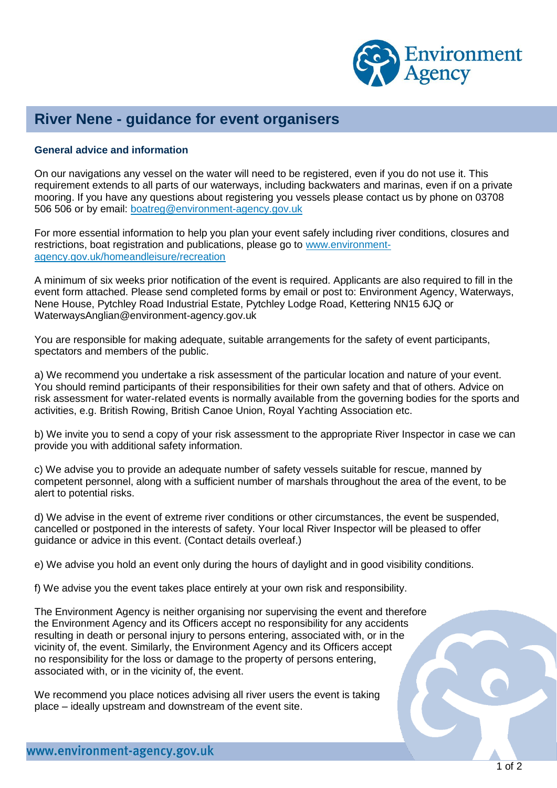

## **River Nene - guidance for event organisers**

## **General advice and information**

On our navigations any vessel on the water will need to be registered, even if you do not use it. This requirement extends to all parts of our waterways, including backwaters and marinas, even if on a private mooring. If you have any questions about registering you vessels please contact us by phone on 03708 506 506 or by email: [boatreg@environment-agency.gov.uk](mailto:boatreg@environment-agency.gov.uk)

For more essential information to help you plan your event safely including river conditions, closures and restrictions, boat registration and publications, please go to [www.environment](http://www.environment-agency.gov.uk/homeandleisure/recreation)[agency.gov.uk/homeandleisure/recreation](http://www.environment-agency.gov.uk/homeandleisure/recreation)

A minimum of six weeks prior notification of the event is required. Applicants are also required to fill in the event form attached. Please send completed forms by email or post to: Environment Agency, Waterways, Nene House, Pytchley Road Industrial Estate, Pytchley Lodge Road, Kettering NN15 6JQ or WaterwaysAnglian@environment-agency.gov.uk

You are responsible for making adequate, suitable arrangements for the safety of event participants, spectators and members of the public.

a) We recommend you undertake a risk assessment of the particular location and nature of your event. You should remind participants of their responsibilities for their own safety and that of others. Advice on risk assessment for water-related events is normally available from the governing bodies for the sports and activities, e.g. British Rowing, British Canoe Union, Royal Yachting Association etc.

b) We invite you to send a copy of your risk assessment to the appropriate River Inspector in case we can provide you with additional safety information.

c) We advise you to provide an adequate number of safety vessels suitable for rescue, manned by competent personnel, along with a sufficient number of marshals throughout the area of the event, to be alert to potential risks.

d) We advise in the event of extreme river conditions or other circumstances, the event be suspended, cancelled or postponed in the interests of safety. Your local River Inspector will be pleased to offer guidance or advice in this event. (Contact details overleaf.)

e) We advise you hold an event only during the hours of daylight and in good visibility conditions.

f) We advise you the event takes place entirely at your own risk and responsibility.

The Environment Agency is neither organising nor supervising the event and therefore the Environment Agency and its Officers accept no responsibility for any accidents resulting in death or personal injury to persons entering, associated with, or in the vicinity of, the event. Similarly, the Environment Agency and its Officers accept no responsibility for the loss or damage to the property of persons entering, associated with, or in the vicinity of, the event.

We recommend you place notices advising all river users the event is taking place – ideally upstream and downstream of the event site.